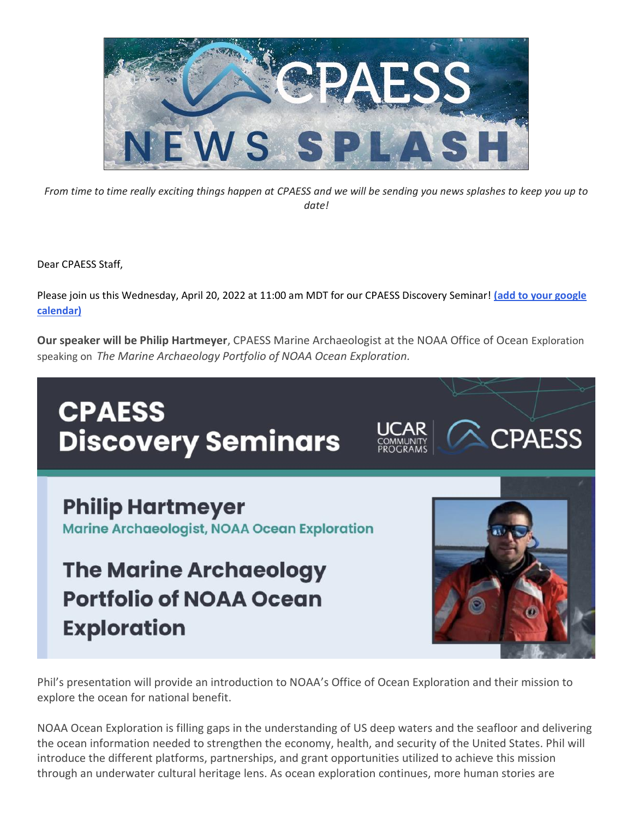

*From time to time really exciting things happen at CPAESS and we will be sending you news splashes to keep you up to date!*

Dear CPAESS Staff,

Please join us this Wednesday, April 20, 2022 at 11:00 am MDT for our CPAESS Discovery Seminar! **[\(add to your google](https://calendar.google.com/event?action=TEMPLATE&tmeid=MXRkbTYya2lpbml0NTJkb2NmdmZsa2xydGsgY18xODg2NmRrOHRpamxnaWs4bmptZWMya3N2aGRpaTRnOGVsaG0yc2hlY2xpN2FAcmVzb3VyY2UuY2FsZW5kYXIuZ29vZ2xlLmNvbQ&tmsrc=c_18866dk8tijlgik8njmec2ksvhdii4g8elhm2shecli7a%40resource.calendar.google.com)  [calendar\)](https://calendar.google.com/event?action=TEMPLATE&tmeid=MXRkbTYya2lpbml0NTJkb2NmdmZsa2xydGsgY18xODg2NmRrOHRpamxnaWs4bmptZWMya3N2aGRpaTRnOGVsaG0yc2hlY2xpN2FAcmVzb3VyY2UuY2FsZW5kYXIuZ29vZ2xlLmNvbQ&tmsrc=c_18866dk8tijlgik8njmec2ksvhdii4g8elhm2shecli7a%40resource.calendar.google.com)**

**Our speaker will be Philip Hartmeyer**, CPAESS Marine Archaeologist at the NOAA Office of Ocean Exploration speaking on *The Marine Archaeology Portfolio of NOAA Ocean Exploration.*

## **CPAESS CPAESS Discovery Seminars Philip Hartmeyer Marine Archaeologist, NOAA Ocean Exploration The Marine Archaeology Portfolio of NOAA Ocean Exploration**

Phil's presentation will provide an introduction to NOAA's Office of Ocean Exploration and their mission to explore the ocean for national benefit.

NOAA Ocean Exploration is filling gaps in the understanding of US deep waters and the seafloor and delivering the ocean information needed to strengthen the economy, health, and security of the United States. Phil will introduce the different platforms, partnerships, and grant opportunities utilized to achieve this mission through an underwater cultural heritage lens. As ocean exploration continues, more human stories are